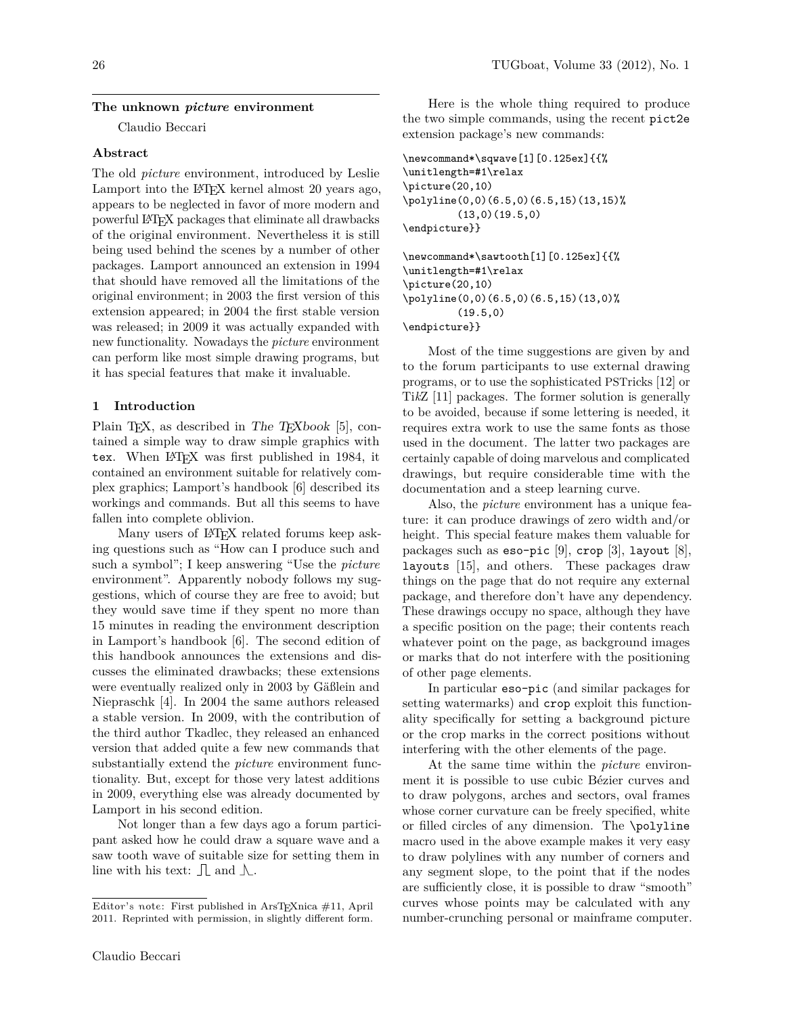#### **The unknown** *picture* **environment**

Claudio Beccari

## **Abstract**

The old *picture* environment, introduced by Leslie Lamport into the L<sup>AT</sup>EX kernel almost 20 years ago, appears to be neglected in favor of more modern and powerful LATEX packages that eliminate all drawbacks of the original environment. Nevertheless it is still being used behind the scenes by a number of other packages. Lamport announced an extension in 1994 that should have removed all the limitations of the original environment; in 2003 the first version of this extension appeared; in 2004 the first stable version was released; in 2009 it was actually expanded with new functionality. Nowadays the *picture* environment can perform like most simple drawing programs, but it has special features that make it invaluable.

### **1 Introduction**

Plain T<sub>E</sub>X, as described in The  $T_{E}X$ book [\[5\]](#page-6-0), contained a simple way to draw simple graphics with tex. When IATEX was first published in 1984, it contained an environment suitable for relatively complex graphics; Lamport's handbook [\[6\]](#page-6-1) described its workings and commands. But all this seems to have fallen into complete oblivion.

Many users of LAT<sub>EX</sub> related forums keep asking questions such as "How can I produce such and such a symbol"; I keep answering "Use the *picture* environment". Apparently nobody follows my suggestions, which of course they are free to avoid; but they would save time if they spent no more than 15 minutes in reading the environment description in Lamport's handbook [\[6\]](#page-6-1). The second edition of this handbook announces the extensions and discusses the eliminated drawbacks; these extensions were eventually realized only in 2003 by Gäßlein and Niepraschk [\[4\]](#page-6-2). In 2004 the same authors released a stable version. In 2009, with the contribution of the third author Tkadlec, they released an enhanced version that added quite a few new commands that substantially extend the *picture* environment functionality. But, except for those very latest additions in 2009, everything else was already documented by Lamport in his second edition.

Not longer than a few days ago a forum participant asked how he could draw a square wave and a saw tooth wave of suitable size for setting them in line with his text:  $\Box$  and  $\Lambda$ .

Here is the whole thing required to produce the two simple commands, using the recent pict2e extension package's new commands:

```
\newcommand*\sqwave[1][0.125ex]{{%
\unitlength=#1\relax
\picture(20,10)
\polyline(0,0)(6.5,0)(6.5,15)(13,15)%
         (13,0)(19.5,0)
\endpicture}}
\newcommand*\sawtooth[1][0.125ex]{{%
\unitlength=#1\relax
\picture(20,10)
```
\polyline(0,0)(6.5,0)(6.5,15)(13,0)%  $(19.5,0)$ 

\endpicture}}

Most of the time suggestions are given by and to the forum participants to use external drawing programs, or to use the sophisticated PSTricks [\[12\]](#page-6-3) or Ti*k*Z [\[11\]](#page-6-4) packages. The former solution is generally to be avoided, because if some lettering is needed, it requires extra work to use the same fonts as those used in the document. The latter two packages are certainly capable of doing marvelous and complicated drawings, but require considerable time with the documentation and a steep learning curve.

Also, the *picture* environment has a unique feature: it can produce drawings of zero width and/or height. This special feature makes them valuable for packages such as  $\epsilon$ so-pic [\[9\]](#page-6-5), crop [\[3\]](#page-6-6), layout [\[8\]](#page-6-7), layouts [\[15\]](#page-6-8), and others. These packages draw things on the page that do not require any external package, and therefore don't have any dependency. These drawings occupy no space, although they have a specific position on the page; their contents reach whatever point on the page, as background images or marks that do not interfere with the positioning of other page elements.

In particular eso-pic (and similar packages for setting watermarks) and crop exploit this functionality specifically for setting a background picture or the crop marks in the correct positions without interfering with the other elements of the page.

At the same time within the *picture* environment it is possible to use cubic Bézier curves and to draw polygons, arches and sectors, oval frames whose corner curvature can be freely specified, white or filled circles of any dimension. The \polyline macro used in the above example makes it very easy to draw polylines with any number of corners and any segment slope, to the point that if the nodes are sufficiently close, it is possible to draw "smooth" curves whose points may be calculated with any number-crunching personal or mainframe computer.

Editor's note: First published in ArsTEXnica #11, April 2011. Reprinted with permission, in slightly different form.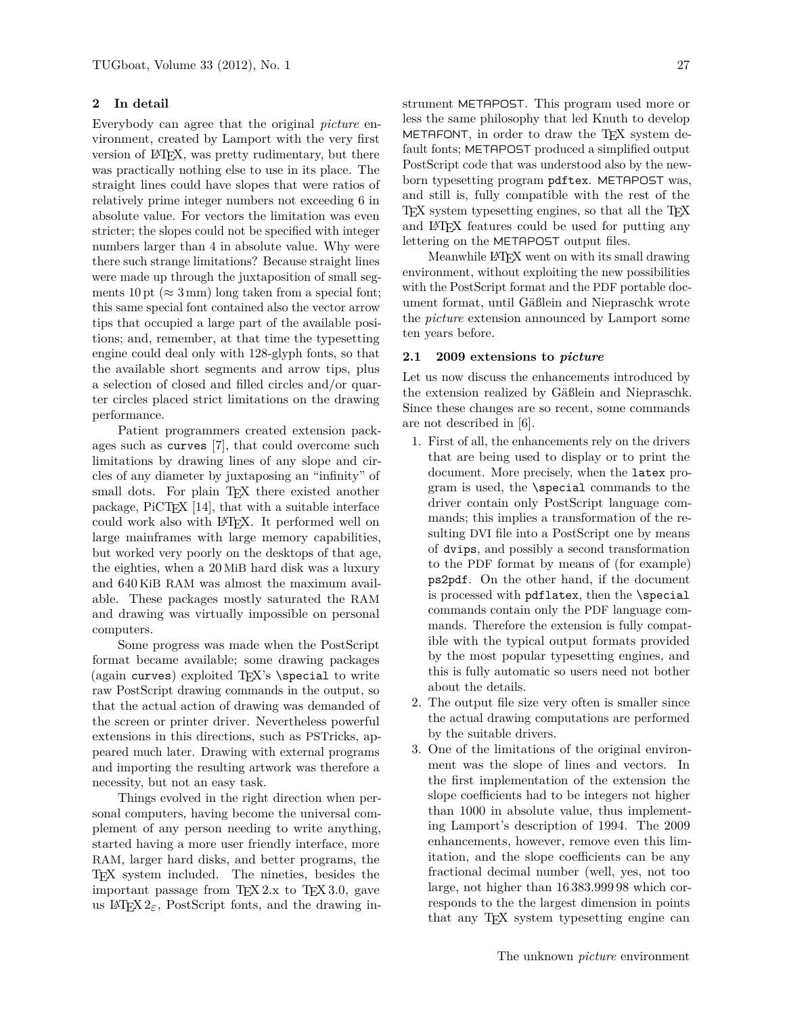# **2 In detail**

Everybody can agree that the original *picture* environment, created by Lamport with the very first version of LATEX, was pretty rudimentary, but there was practically nothing else to use in its place. The straight lines could have slopes that were ratios of relatively prime integer numbers not exceeding 6 in absolute value. For vectors the limitation was even stricter; the slopes could not be specified with integer numbers larger than 4 in absolute value. Why were there such strange limitations? Because straight lines were made up through the juxtaposition of small segments 10 pt ( $\approx$  3 mm) long taken from a special font; this same special font contained also the vector arrow tips that occupied a large part of the available positions; and, remember, at that time the typesetting engine could deal only with 128-glyph fonts, so that the available short segments and arrow tips, plus a selection of closed and filled circles and/or quarter circles placed strict limitations on the drawing performance.

Patient programmers created extension packages such as curves [\[7\]](#page-6-9), that could overcome such limitations by drawing lines of any slope and circles of any diameter by juxtaposing an "infinity" of small dots. For plain TEX there existed another package, PiCT<sub>F</sub>X [\[14\]](#page-6-10), that with a suitable interface could work also with LATEX. It performed well on large mainframes with large memory capabilities, but worked very poorly on the desktops of that age, the eighties, when a 20 MiB hard disk was a luxury and 640 KiB RAM was almost the maximum available. These packages mostly saturated the RAM and drawing was virtually impossible on personal computers.

Some progress was made when the PostScript format became available; some drawing packages (again curves) exploited  $T_{F}X$ 's  $\searrow$  to write raw PostScript drawing commands in the output, so that the actual action of drawing was demanded of the screen or printer driver. Nevertheless powerful extensions in this directions, such as PSTricks, appeared much later. Drawing with external programs and importing the resulting artwork was therefore a necessity, but not an easy task.

Things evolved in the right direction when personal computers, having become the universal complement of any person needing to write anything, started having a more user friendly interface, more RAM, larger hard disks, and better programs, the TEX system included. The nineties, besides the important passage from  $TFX 2.x$  to  $TFX 3.0$ , gave us  $\text{LATEX } 2\varepsilon$ , PostScript fonts, and the drawing in-

strument METAPOST. This program used more or less the same philosophy that led Knuth to develop METAFONT, in order to draw the TEX system default fonts; METAPOST produced a simplified output PostScript code that was understood also by the newborn typesetting program pdftex. METAPOST was, and still is, fully compatible with the rest of the TEX system typesetting engines, so that all the TEX and LATEX features could be used for putting any lettering on the METAPOST output files.

Meanwhile LATEX went on with its small drawing environment, without exploiting the new possibilities with the PostScript format and the PDF portable document format, until Gäßlein and Niepraschk wrote the *picture* extension announced by Lamport some ten years before.

### **2.1 2009 extensions to** *picture*

Let us now discuss the enhancements introduced by the extension realized by Gäßlein and Niepraschk. Since these changes are so recent, some commands are not described in [\[6\]](#page-6-1).

- 1. First of all, the enhancements rely on the drivers that are being used to display or to print the document. More precisely, when the latex program is used, the \special commands to the driver contain only PostScript language commands; this implies a transformation of the resulting DVI file into a PostScript one by means of dvips, and possibly a second transformation to the PDF format by means of (for example) ps2pdf. On the other hand, if the document is processed with pdflatex, then the \special commands contain only the PDF language commands. Therefore the extension is fully compatible with the typical output formats provided by the most popular typesetting engines, and this is fully automatic so users need not bother about the details.
- 2. The output file size very often is smaller since the actual drawing computations are performed by the suitable drivers.
- 3. One of the limitations of the original environment was the slope of lines and vectors. In the first implementation of the extension the slope coefficients had to be integers not higher than 1000 in absolute value, thus implementing Lamport's description of 1994. The 2009 enhancements, however, remove even this limitation, and the slope coefficients can be any fractional decimal number (well, yes, not too large, not higher than 16 383.999 98 which corresponds to the the largest dimension in points that any TEX system typesetting engine can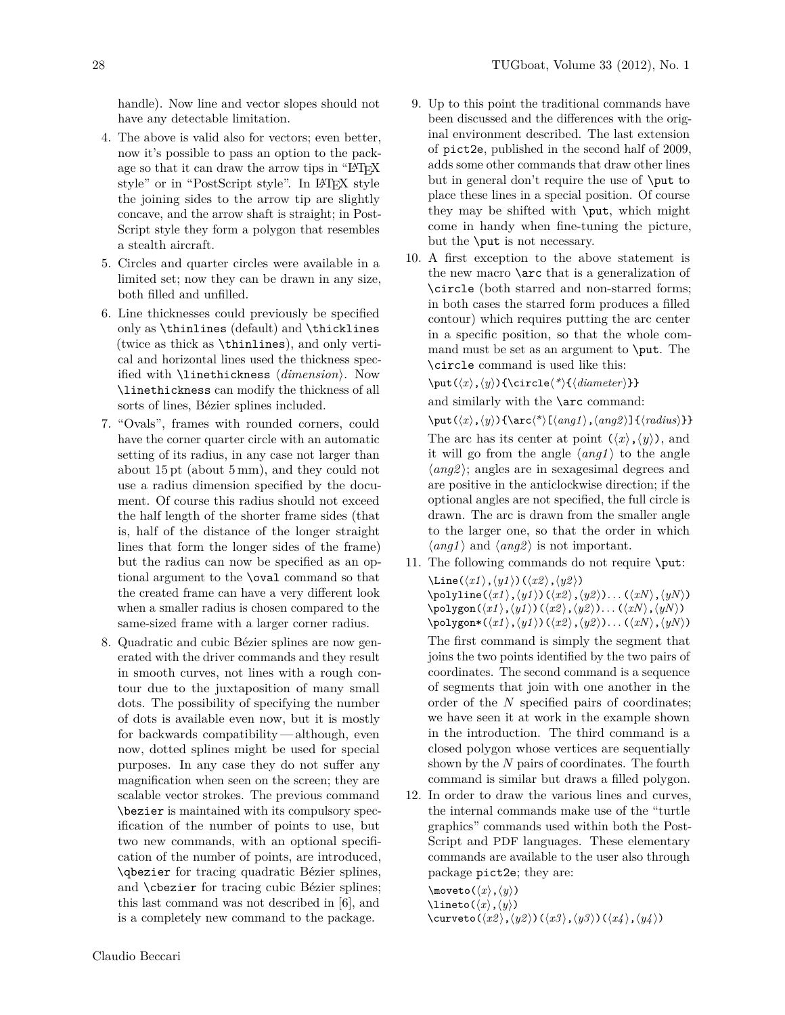handle). Now line and vector slopes should not have any detectable limitation.

- 4. The above is valid also for vectors; even better, now it's possible to pass an option to the package so that it can draw the arrow tips in "LAT<sub>EX</sub> style" or in "PostScript style". In LATEX style the joining sides to the arrow tip are slightly concave, and the arrow shaft is straight; in Post-Script style they form a polygon that resembles a stealth aircraft.
- 5. Circles and quarter circles were available in a limited set; now they can be drawn in any size, both filled and unfilled.
- 6. Line thicknesses could previously be specified only as \thinlines (default) and \thicklines (twice as thick as \thinlines), and only vertical and horizontal lines used the thickness specified with  $\text{linethickness } \{dimension\}$ . Now \linethickness can modify the thickness of all sorts of lines, Bézier splines included.
- 7. "Ovals", frames with rounded corners, could have the corner quarter circle with an automatic setting of its radius, in any case not larger than about 15 pt (about 5 mm), and they could not use a radius dimension specified by the document. Of course this radius should not exceed the half length of the shorter frame sides (that is, half of the distance of the longer straight lines that form the longer sides of the frame) but the radius can now be specified as an optional argument to the \oval command so that the created frame can have a very different look when a smaller radius is chosen compared to the same-sized frame with a larger corner radius.
- 8. Quadratic and cubic Bézier splines are now generated with the driver commands and they result in smooth curves, not lines with a rough contour due to the juxtaposition of many small dots. The possibility of specifying the number of dots is available even now, but it is mostly for backwards compatibility— although, even now, dotted splines might be used for special purposes. In any case they do not suffer any magnification when seen on the screen; they are scalable vector strokes. The previous command \bezier is maintained with its compulsory specification of the number of points to use, but two new commands, with an optional specification of the number of points, are introduced, \qbezier for tracing quadratic Bézier splines, and \cbezier for tracing cubic Bézier splines; this last command was not described in [\[6\]](#page-6-1), and is a completely new command to the package.
- 9. Up to this point the traditional commands have been discussed and the differences with the original environment described. The last extension of pict2e, published in the second half of 2009, adds some other commands that draw other lines but in general don't require the use of \put to place these lines in a special position. Of course they may be shifted with \put, which might come in handy when fine-tuning the picture, but the \put is not necessary.
- 10. A first exception to the above statement is the new macro \arc that is a generalization of \circle (both starred and non-starred forms; in both cases the starred form produces a filled contour) which requires putting the arc center in a specific position, so that the whole command must be set as an argument to \put. The \circle command is used like this:

\put(\*x*),\*y*)){\circle\\*\{\diameter\}}

and similarly with the \arc command:

 $\put(\langle x\rangle, \langle y\rangle)$  {\arc $\langle^*\rangle$  [ $\langle ang1\rangle$ ,  $\langle ang2\rangle$ ] { $\langle radius\rangle$ }} The arc has its center at point  $(\langle x \rangle, \langle y \rangle)$ , and it will go from the angle  $\langle ang1 \rangle$  to the angle  $\langle ang2 \rangle$ ; angles are in sexagesimal degrees and are positive in the anticlockwise direction; if the optional angles are not specified, the full circle is drawn. The arc is drawn from the smaller angle to the larger one, so that the order in which  $\langle ang1 \rangle$  and  $\langle ang2 \rangle$  is not important.

- 11. The following commands do not require \put:  $\langle x1 \rangle$ ,  $\langle y1 \rangle$ )( $\langle x2 \rangle$ ,  $\langle y2 \rangle$ )  $\pi$ <sub>)</sub>,  $\langle y1 \rangle$  i,  $\langle y2 \rangle$ ,  $\langle y2 \rangle$ . . . ( $\langle xN \rangle$ ,  $\langle yN \rangle$ )  $\pmb{\text{polygon}(\langle x1 \rangle,\langle y1 \rangle)(\langle x2 \rangle,\langle y2 \rangle)}$ . . .  $(\langle xN \rangle,\langle yN \rangle)$  $\pmb{\text{polygon*}(\langle x1 \rangle, \langle y1 \rangle)(\langle x2 \rangle, \langle y2 \rangle)}\dots(\langle xN \rangle, \langle yN \rangle)}$ The first command is simply the segment that joins the two points identified by the two pairs of coordinates. The second command is a sequence of segments that join with one another in the order of the *N* specified pairs of coordinates; we have seen it at work in the example shown in the introduction. The third command is a closed polygon whose vertices are sequentially shown by the *N* pairs of coordinates. The fourth command is similar but draws a filled polygon.
- 12. In order to draw the various lines and curves, the internal commands make use of the "turtle graphics" commands used within both the Post-Script and PDF languages. These elementary commands are available to the user also through package pict2e; they are:

```
\text{move}(x), \langle y \rangle\langlelineto(\langle x \rangle, \langle y \rangle)\langlecurveto(\langle x2 \rangle,\langle y2 \rangle)(\langle x3 \rangle,\langle y3 \rangle)(\langle x4 \rangle,\langle y4 \rangle)
```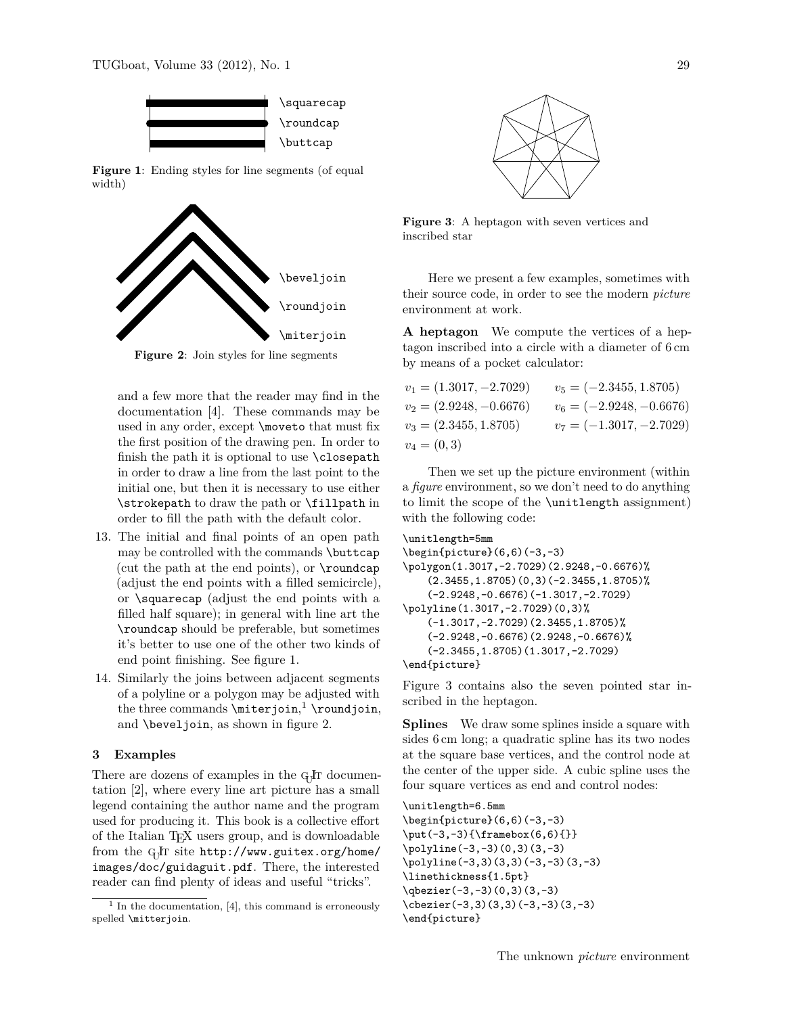

**Figure 1**: Ending styles for line segments (of equal width)

<span id="page-3-0"></span>

<span id="page-3-2"></span>**Figure 2**: Join styles for line segments

and a few more that the reader may find in the documentation [\[4\]](#page-6-2). These commands may be used in any order, except \moveto that must fix the first position of the drawing pen. In order to finish the path it is optional to use \closepath in order to draw a line from the last point to the initial one, but then it is necessary to use either \strokepath to draw the path or \fillpath in order to fill the path with the default color.

- 13. The initial and final points of an open path may be controlled with the commands \buttcap (cut the path at the end points), or \roundcap (adjust the end points with a filled semicircle), or \squarecap (adjust the end points with a filled half square); in general with line art the \roundcap should be preferable, but sometimes it's better to use one of the other two kinds of end point finishing. See figure [1.](#page-3-0)
- 14. Similarly the joins between adjacent segments of a polyline or a polygon may be adjusted with the three commands  $\mathcal{S}$  iterjoin,  $^1$  $^1$   $\mathcal{S}$   $\mathcal{S}$ and \beveljoin, as shown in figure [2.](#page-3-2)

## **3 Examples**

There are dozens of examples in the G<sub>U</sub>T documentation [\[2\]](#page-6-11), where every line art picture has a small legend containing the author name and the program used for producing it. This book is a collective effort of the Italian TEX users group, and is downloadable from the G<sub>J</sub>I site [http://www.guitex.org/home/](http://www.guitex.org/home/images/doc/guidaguit.pdf) [images/doc/guidaguit.pdf](http://www.guitex.org/home/images/doc/guidaguit.pdf). There, the interested reader can find plenty of ideas and useful "tricks".



<span id="page-3-3"></span>**Figure 3**: A heptagon with seven vertices and inscribed star

Here we present a few examples, sometimes with their source code, in order to see the modern *picture* environment at work.

**A heptagon** We compute the vertices of a heptagon inscribed into a circle with a diameter of 6 cm by means of a pocket calculator:

$$
v_1 = (1.3017, -2.7029) \qquad v_5 = (-2.3455, 1.8705)
$$
  
\n
$$
v_2 = (2.9248, -0.6676) \qquad v_6 = (-2.9248, -0.6676)
$$
  
\n
$$
v_3 = (2.3455, 1.8705) \qquad v_7 = (-1.3017, -2.7029)
$$
  
\n
$$
v_4 = (0, 3)
$$

Then we set up the picture environment (within a *figure* environment, so we don't need to do anything to limit the scope of the \unitlength assignment) with the following code:

```
\unitlength=5mm
\begin{binatrix} 6, 6 \\ -3, -3 \end{binatrix}\polygon(1.3017,-2.7029)(2.9248,-0.6676)%
    (2.3455, 1.8705)(0,3)(-2.3455, 1.8705)(-2.9248,-0.6676)(-1.3017,-2.7029)
\polyline(1.3017,-2.7029)(0,3)%
    (-1.3017,-2.7029)(2.3455,1.8705)%
    (-2.9248,-0.6676)(2.9248,-0.6676)(-2.3455,1.8705)(1.3017,-2.7029)
\end{picture}
```
Figure [3](#page-3-3) contains also the seven pointed star inscribed in the heptagon.

**Splines** We draw some splines inside a square with sides 6 cm long; a quadratic spline has its two nodes at the square base vertices, and the control node at the center of the upper side. A cubic spline uses the four square vertices as end and control nodes:

```
\unitlength=6.5mm
\begin{picture}(6,6)(-3,-3)
\put(-3,-3){\framebox(6,6){}}
\polyline(-3,-3)(0,3)(3,-3)
\polyline(-3,3)(3,3)(-3,-3)(3,-3)
\linethickness{1.5pt}
\qbezier(-3,-3)(0,3)(3,-3)
\cbezier(-3,3)(3,3)(-3,-3)(3,-3)
\end{picture}
```
<span id="page-3-1"></span><sup>&</sup>lt;sup>1</sup> In the documentation, [\[4\]](#page-6-2), this command is erroneously spelled \mitterjoin.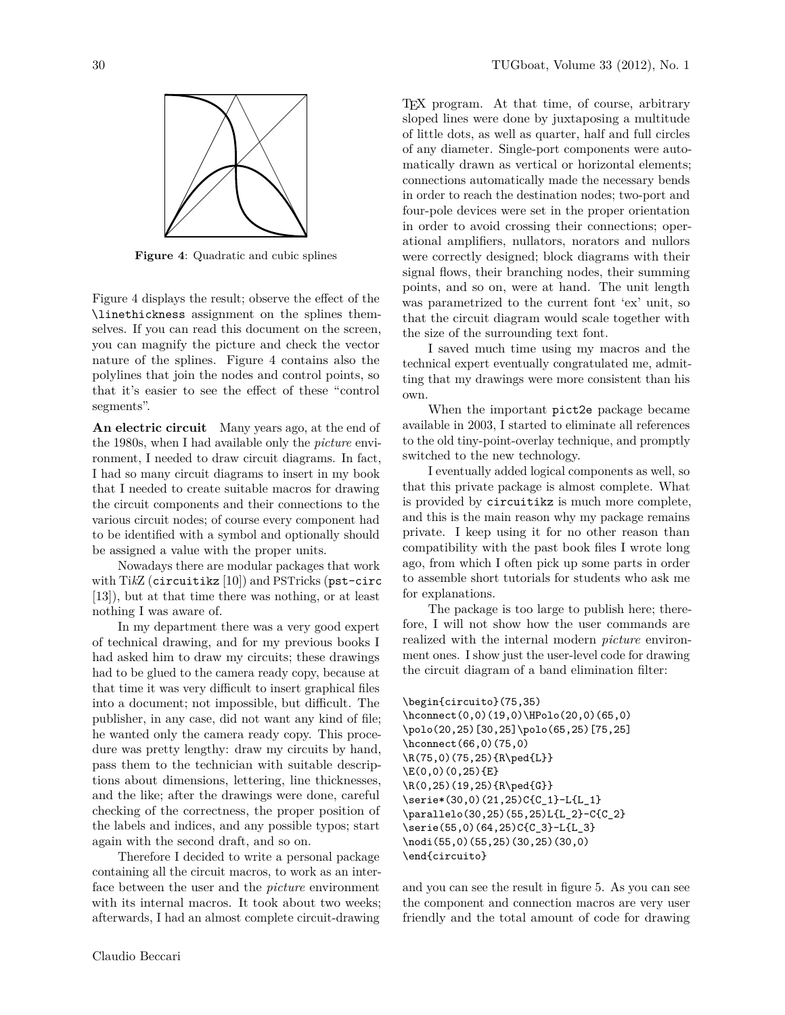

<span id="page-4-0"></span>**Figure 4**: Quadratic and cubic splines

Figure [4](#page-4-0) displays the result; observe the effect of the \linethickness assignment on the splines themselves. If you can read this document on the screen, you can magnify the picture and check the vector nature of the splines. Figure [4](#page-4-0) contains also the polylines that join the nodes and control points, so that it's easier to see the effect of these "control segments".

**An electric circuit** Many years ago, at the end of the 1980s, when I had available only the *picture* environment, I needed to draw circuit diagrams. In fact, I had so many circuit diagrams to insert in my book that I needed to create suitable macros for drawing the circuit components and their connections to the various circuit nodes; of course every component had to be identified with a symbol and optionally should be assigned a value with the proper units.

Nowadays there are modular packages that work with Ti*k*Z (circuitikz [\[10\]](#page-6-12)) and PSTricks (pst-circ [\[13\]](#page-6-13)), but at that time there was nothing, or at least nothing I was aware of.

In my department there was a very good expert of technical drawing, and for my previous books I had asked him to draw my circuits; these drawings had to be glued to the camera ready copy, because at that time it was very difficult to insert graphical files into a document; not impossible, but difficult. The publisher, in any case, did not want any kind of file; he wanted only the camera ready copy. This procedure was pretty lengthy: draw my circuits by hand, pass them to the technician with suitable descriptions about dimensions, lettering, line thicknesses, and the like; after the drawings were done, careful checking of the correctness, the proper position of the labels and indices, and any possible typos; start again with the second draft, and so on.

Therefore I decided to write a personal package containing all the circuit macros, to work as an interface between the user and the *picture* environment with its internal macros. It took about two weeks; afterwards, I had an almost complete circuit-drawing TEX program. At that time, of course, arbitrary sloped lines were done by juxtaposing a multitude of little dots, as well as quarter, half and full circles of any diameter. Single-port components were automatically drawn as vertical or horizontal elements; connections automatically made the necessary bends in order to reach the destination nodes; two-port and four-pole devices were set in the proper orientation in order to avoid crossing their connections; operational amplifiers, nullators, norators and nullors were correctly designed; block diagrams with their signal flows, their branching nodes, their summing points, and so on, were at hand. The unit length was parametrized to the current font 'ex' unit, so that the circuit diagram would scale together with the size of the surrounding text font.

I saved much time using my macros and the technical expert eventually congratulated me, admitting that my drawings were more consistent than his own.

When the important pict2e package became available in 2003, I started to eliminate all references to the old tiny-point-overlay technique, and promptly switched to the new technology.

I eventually added logical components as well, so that this private package is almost complete. What is provided by circuitikz is much more complete, and this is the main reason why my package remains private. I keep using it for no other reason than compatibility with the past book files I wrote long ago, from which I often pick up some parts in order to assemble short tutorials for students who ask me for explanations.

The package is too large to publish here; therefore, I will not show how the user commands are realized with the internal modern *picture* environment ones. I show just the user-level code for drawing the circuit diagram of a band elimination filter:

```
\begin{circuito}(75,35)
\hconnect(0,0)(19,0)\HPolo(20,0)(65,0)
\polo(20,25)[30,25]\polo(65,25)[75,25]
\hconnect(66,0)(75,0)
\R(75,0)(75,25){R\ped{L}}
\E(0,0)(0,25){E}
\R(0,25)(19,25){R\ped{G}}
\serie*(30,0)(21,25)C{C_1}-L{L_1}
\parallelo(30,25)(55,25)L{L_2}-C{C_2}
\serie(55,0)(64,25)C{C_3}-L{L_3}
\nodi(55,0)(55,25)(30,25)(30,0)
\end{circuito}
```
and you can see the result in figure [5.](#page-5-0) As you can see the component and connection macros are very user friendly and the total amount of code for drawing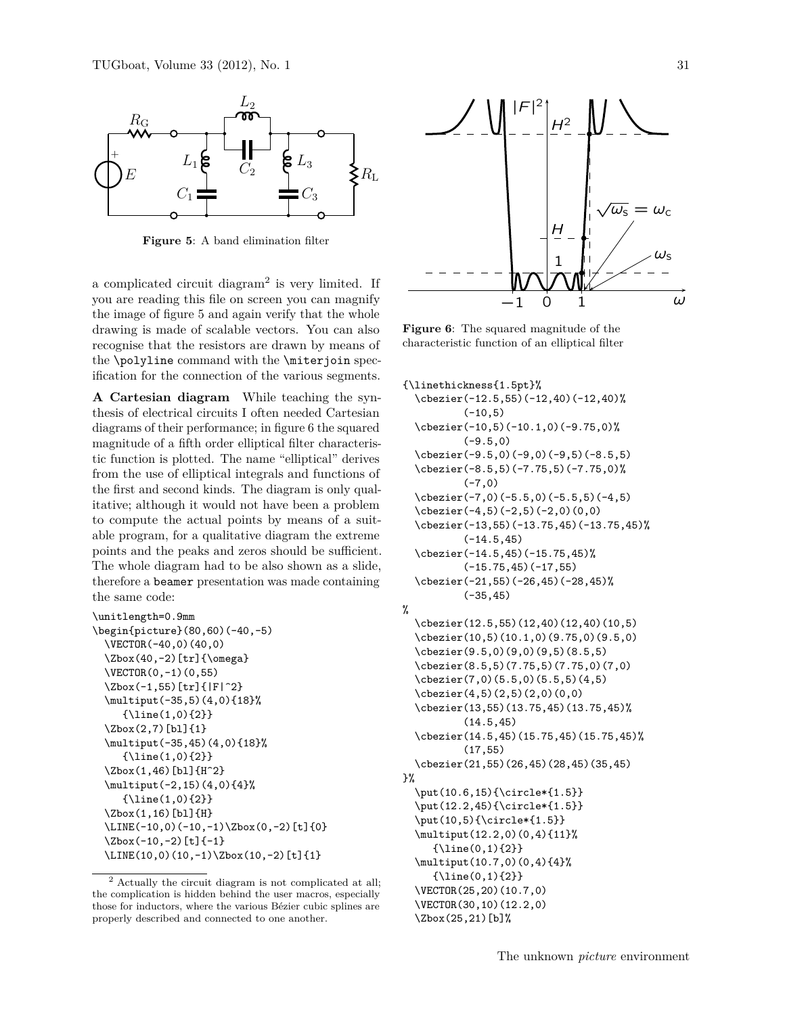

<span id="page-5-0"></span>**Figure 5**: A band elimination filter

a complicated circuit diagram<sup>[2](#page-5-1)</sup> is very limited. If you are reading this file on screen you can magnify the image of figure [5](#page-5-0) and again verify that the whole drawing is made of scalable vectors. You can also recognise that the resistors are drawn by means of the \polyline command with the \miterjoin specification for the connection of the various segments.

**A Cartesian diagram** While teaching the synthesis of electrical circuits I often needed Cartesian diagrams of their performance; in figure [6](#page-5-2) the squared magnitude of a fifth order elliptical filter characteristic function is plotted. The name "elliptical" derives from the use of elliptical integrals and functions of the first and second kinds. The diagram is only qualitative; although it would not have been a problem to compute the actual points by means of a suitable program, for a qualitative diagram the extreme points and the peaks and zeros should be sufficient. The whole diagram had to be also shown as a slide, therefore a beamer presentation was made containing the same code:

```
\unitlength=0.9mm
\begin{picture}(80,60)(-40,-5)
  \VECTOR(-40,0)(40,0)
  \Zbox(40,-2)[tr]{\omega}
  \VECTOR(0,-1)(0,55)
  \Zbox(-1,55)[tr]{|F|^2}
  \multiput(-35,5)(4,0){18}%
     {\line{1,0}{2}}\Zbox(2,7)[bl]{1}
  \multiput(-35,45)(4,0){18}%
     {\line(1,0){2}}
  \Zbox(1,46)[bl]{H^2}
  \multiput(-2,15)(4,0){4}%
     {\line(1,0){2}}
  \Zbox(1,16)[bl]{H}
  \LINE(-10,0)(-10,-1)\Zbox(0,-2)[t]{0}
  \Zbox(-10,-2)[t]{-1}
  \LINE(10,0)(10,-1)\Zbox(10,-2)[t]{1}
```


<span id="page-5-2"></span> $\mathbf{f}$  characteristic function of an elliptical filter **Figure 6**: The squared magnitude of the

```
{\linethickness{1.5pt}%
```

```
\cbezier(-12.5,55)(-12,40)(-12,40)%
          (-10, 5)\cbezier(-10,5)(-10.1,0)(-9.75,0)%
          (-9.5, 0)\cbezier(-9.5,0)(-9,0)(-9,5)(-8.5,5)
  \cbezier(-8.5,5)(-7.75,5)(-7.75,0)%
          (-7, 0)\cbezier(-7,0)(-5.5,0)(-5.5,5)(-4,5)
  \cbezier(-4,5)(-2,5)(-2,0)(0,0)
  \cbezier(-13,55)(-13.75,45)(-13.75,45)%
          (-14.5,45)
  \cbezier(-14.5,45)(-15.75,45)%
          (-15.75, 45)(-17, 55)\cbezier(-21,55)(-26,45)(-28,45)%
          (-35,45)
%
  \cbezier(12.5,55)(12,40)(12,40)(10,5)
```

```
\cbezier(10,5)(10.1,0)(9.75,0)(9.5,0)
\cbezier(9.5,0)(9,0)(9,5)(8.5,5)
\cbezier(8.5,5)(7.75,5)(7.75,0)(7,0)
\cbezier(7,0)(5.5,0)(5.5,5)(4,5)
\cbezier(4,5)(2,5)(2,0)(0,0)
\cbezier(13,55)(13.75,45)(13.75,45)%
        (14.5,45)
```
\cbezier(14.5,45)(15.75,45)(15.75,45)% (17,55)

\cbezier(21,55)(26,45)(28,45)(35,45) }%

\put(10.6,15){\circle\*{1.5}} \put(12.2,45){\circle\*{1.5}} \put(10,5){\circle\*{1.5}} \multiput(12.2,0)(0,4){11}%

```
{\line{()1}}\multiput(10.7,0)(0,4){4}%
  {\line{0,1}\\VECTOR(25,20)(10.7,0)
\VECTOR(30,10)(12.2,0)
```
\Zbox(25,21)[b]%

<span id="page-5-1"></span><sup>2</sup> Actually the circuit diagram is not complicated at all; the complication is hidden behind the user macros, especially those for inductors, where the various Bézier cubic splines are properly described and connected to one another.